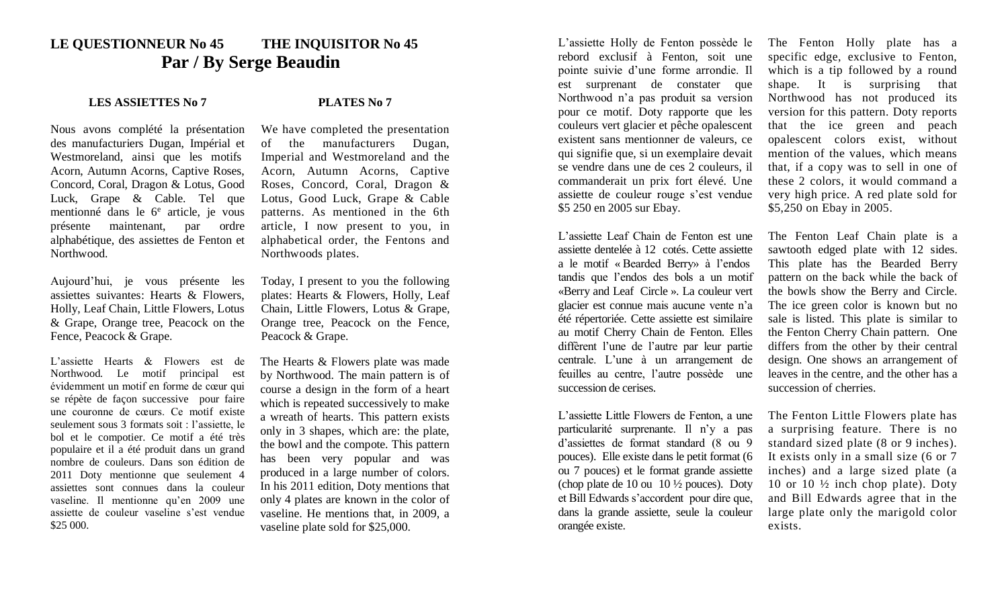## **LE QUESTIONNEUR No 45 THE INQUISITOR No 45 Par / By Serge Beaudin**

## **LES ASSIETTES No 7 PLATES No 7**

Nous avons complété la présentation des manufacturiers Dugan, Impérial et Westmoreland, ainsi que les motifs Acorn, Autumn Acorns, Captive Roses, Concord, Coral, Dragon & Lotus, Good Luck, Grape & Cable. Tel que mentionné dans le 6<sup>e</sup> article, je vous présente maintenant, par ordre alphabétique, des assiettes de Fenton et Northwood.

Aujourd'hui, je vous présente les assiettes suivantes: Hearts & Flowers, Holly, Leaf Chain, Little Flowers, Lotus & Grape, Orange tree, Peacock on the Fence, Peacock & Grape.

L'assiette Hearts & Flowers est de Northwood. Le motif principal est évidemment un motif en forme de cœur qui se répète de façon successive pour faire une couronne de cœurs. Ce motif existe seulement sous 3 formats soit : l'assiette, le bol et le compotier. Ce motif a été très populaire et il a été produit dans un grand nombre de couleurs. Dans son édition de 2011 Doty mentionne que seulement 4 assiettes sont connues dans la couleur vaseline. Il mentionne qu'en 2009 une assiette de couleur vaseline s'est vendue \$25 000.

We have completed the presentation of the manufacturers Dugan, Imperial and Westmoreland and the Acorn, Autumn Acorns, Captive Roses, Concord, Coral, Dragon & Lotus, Good Luck, Grape & Cable patterns. As mentioned in the 6th article, I now present to you, in alphabetical order, the Fentons and Northwoods plates.

Today, I present to you the following plates: Hearts & Flowers, Holly, Leaf Chain, Little Flowers, Lotus & Grape, Orange tree, Peacock on the Fence, Peacock & Grape.

The Hearts & Flowers plate was made by Northwood. The main pattern is of course a design in the form of a heart which is repeated successively to make a wreath of hearts. This pattern exists only in 3 shapes, which are: the plate, the bowl and the compote. This pattern has been very popular and was produced in a large number of colors. In his 2011 edition, Doty mentions that only 4 plates are known in the color of vaseline. He mentions that, in 2009, a vaseline plate sold for \$25,000.

L'assiette Holly de Fenton possède le rebord exclusif à Fenton, soit une pointe suivie d'une forme arrondie. Il est surprenant de constater que Northwood n'a pas produit sa version pour ce motif. Doty rapporte que les couleurs vert glacier et pêche opalescent existent sans mentionner de valeurs, ce qui signifie que, si un exemplaire devait se vendre dans une de ces 2 couleurs, il commanderait un prix fort élevé. Une assiette de couleur rouge s'est vendue \$5 250 en 2005 sur Ebay.

L'assiette Leaf Chain de Fenton est une assiette dentelée à 12 cotés. Cette assiette a le motif « Bearded Berry» à l'endos tandis que l'endos des bols a un motif «Berry and Leaf Circle ». La couleur vert glacier est connue mais aucune vente n'a été répertoriée. Cette assiette est similaire au motif Cherry Chain de Fenton. Elles diffèrent l'une de l'autre par leur partie centrale. L'une à un arrangement de feuilles au centre, l'autre possède une succession de cerises.

L'assiette Little Flowers de Fenton, a une particularité surprenante. Il n'y a pas d'assiettes de format standard (8 ou 9 pouces). Elle existe dans le petit format (6 ou 7 pouces) et le format grande assiette (chop plate de 10 ou 10 ½ pouces). Doty et Bill Edwards s'accordent pour dire que, dans la grande assiette, seule la couleur orangée existe.

The Fenton Holly plate has a specific edge, exclusive to Fenton, which is a tip followed by a round shape. It is surprising that Northwood has not produced its version for this pattern. Doty reports that the ice green and peach opalescent colors exist, without mention of the values, which means that, if a copy was to sell in one of these 2 colors, it would command a very high price. A red plate sold for \$5,250 on Ebay in 2005.

The Fenton Leaf Chain plate is a sawtooth edged plate with 12 sides. This plate has the Bearded Berry pattern on the back while the back of the bowls show the Berry and Circle. The ice green color is known but no sale is listed. This plate is similar to the Fenton Cherry Chain pattern. One differs from the other by their central design. One shows an arrangement of leaves in the centre, and the other has a succession of cherries.

The Fenton Little Flowers plate has a surprising feature. There is no standard sized plate (8 or 9 inches). It exists only in a small size (6 or 7 inches) and a large sized plate (a 10 or 10 ½ inch chop plate). Doty and Bill Edwards agree that in the large plate only the marigold color exists.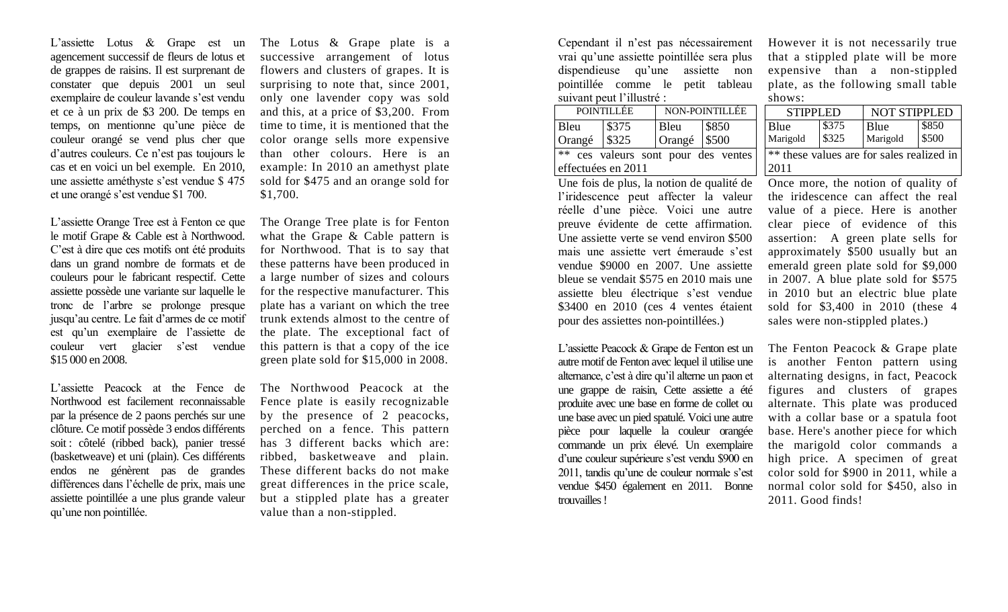L'assiette Lotus & Grape est un agencement successif de fleurs de lotus et de grappes de raisins. Il est surprenant de constater que depuis 2001 un seul exemplaire de couleur lavande s'est vendu et ce à un prix de \$3 200. De temps en temps, on mentionne qu'une pièce de couleur orangé se vend plus cher que d'autres couleurs. Ce n'est pas toujours le cas et en voici un bel exemple. En 2010, une assiette améthyste s'est vendue \$ 475 et une orangé s'est vendue \$1 700.

L'assiette Orange Tree est à Fenton ce que le motif Grape & Cable est à Northwood. C'est à dire que ces motifs ont été produits dans un grand nombre de formats et de couleurs pour le fabricant respectif. Cette assiette possède une variante sur laquelle le tronc de l'arbre se prolonge presque jusqu'au centre. Le fait d'armes de ce motif est qu'un exemplaire de l'assiette de couleur vert glacier s'est vendue \$15 000 en 2008.

L'assiette Peacock at the Fence de Northwood est facilement reconnaissable par la présence de 2 paons perchés sur une clôture. Ce motif possède 3 endos différents soit : côtelé (ribbed back), panier tressé (basketweave) et uni (plain). Ces différents endos ne génèrent pas de grandes différences dans l'échelle de prix, mais une assiette pointillée a une plus grande valeur qu'une non pointillée.

The Lotus & Grape plate is a successive arrangement of lotus flowers and clusters of grapes. It is surprising to note that, since 2001, only one lavender copy was sold and this, at a price of \$3,200. From time to time, it is mentioned that the color orange sells more expensive than other colours. Here is an example: In 2010 an amethyst plate sold for \$475 and an orange sold for \$1,700.

The Orange Tree plate is for Fenton what the Grape & Cable pattern is for Northwood. That is to say that these patterns have been produced in a large number of sizes and colours for the respective manufacturer. This plate has a variant on which the tree trunk extends almost to the centre of the plate. The exceptional fact of this pattern is that a copy of the ice green plate sold for \$15,000 in 2008.

The Northwood Peacock at the Fence plate is easily recognizable by the presence of 2 peacocks, perched on a fence. This pattern has 3 different backs which are: ribbed, basketweave and plain. These different backs do not make great differences in the price scale, but a stippled plate has a greater value than a non-stippled.

Cependant il n'est pas nécessairement vrai qu'une assiette pointillée sera plus dispendieuse qu'une assiette non pointillée comme le petit tableau suivant peut l'illustré :

|                                     | <b>POINTILLEE</b> | NON-POINTILLEE   |       |  |  |  |  |  |  |
|-------------------------------------|-------------------|------------------|-------|--|--|--|--|--|--|
| Bleu                                | $\frac{1}{3}375$  | Bleu             | \$850 |  |  |  |  |  |  |
| Orangé                              | $\frac{1}{3325}$  | Orangé $ $ \$500 |       |  |  |  |  |  |  |
| ** ces valeurs sont pour des ventes |                   |                  |       |  |  |  |  |  |  |
| effectuées en 2011                  |                   |                  |       |  |  |  |  |  |  |

Une fois de plus, la notion de qualité de l'iridescence peut affecter la valeur réelle d'une pièce. Voici une autre preuve évidente de cette affirmation. Une assiette verte se vend environ \$500 mais une assiette vert émeraude s'est vendue \$9000 en 2007. Une assiette bleue se vendait \$575 en 2010 mais une assiette bleu électrique s'est vendue \$3400 en 2010 (ces 4 ventes étaient pour des assiettes non-pointillées.)

L'assiette Peacock & Grape de Fenton est un autre motif de Fenton avec lequel il utilise une alternance, c'est à dire qu'il alterne un paon et une grappe de raisin, Cette assiette a été produite avec une base en forme de collet ou une base avec un pied spatulé. Voici une autre pièce pour laquelle la couleur orangée commande un prix élevé. Un exemplaire d'une couleur supérieure s'est vendu \$900 en 2011, tandis qu'une de couleur normale s'est vendue \$450 également en 2011. Bonne trouvailles!

However it is not necessarily true that a stippled plate will be more expensive than a non-stippled plate, as the following small table shows:

| POINTILLÉE                       |       | NON-POINTILLÉE         |       |                                           | <b>STIPPLED</b> |       | NOT STIPPLED |       |
|----------------------------------|-------|------------------------|-------|-------------------------------------------|-----------------|-------|--------------|-------|
| П.                               | \$375 | Bleu                   | \$850 |                                           | Blue            | \$375 | Blue         | \$850 |
| ngé                              | \$325 | Orangé $\frac{1}{500}$ |       |                                           | Marigold        | \$325 | Marigold     | \$500 |
| ces valeurs sont pour des ventes |       |                        |       | ** these values are for sales realized in |                 |       |              |       |
| ctuées en 2011                   |       |                        |       | 2011                                      |                 |       |              |       |

Once more, the notion of quality of the iridescence can affect the real value of a piece. Here is another clear piece of evidence of this assertion: A green plate sells for approximately \$500 usually but an emerald green plate sold for \$9,000 in 2007. A blue plate sold for \$575 in 2010 but an electric blue plate sold for \$3,400 in 2010 (these 4 sales were non-stippled plates.)

The Fenton Peacock & Grape plate is another Fenton pattern using alternating designs, in fact, Peacock figures and clusters of grapes alternate. This plate was produced with a collar base or a spatula foot base. Here's another piece for which the marigold color commands a high price. A specimen of great color sold for \$900 in 2011, while a normal color sold for \$450, also in 2011. Good finds!